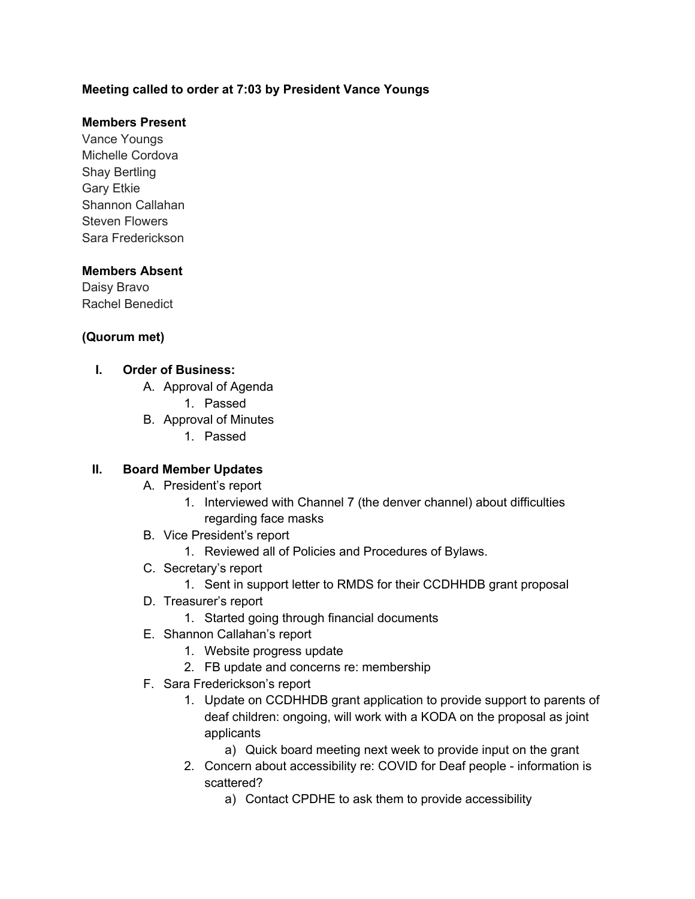### **Meeting called to order at 7:03 by President Vance Youngs**

### **Members Present**

Vance Youngs Michelle Cordova Shay Bertling Gary Etkie Shannon Callahan Steven Flowers Sara Frederickson

### **Members Absent**

Daisy Bravo Rachel Benedict

### **(Quorum met)**

### **I. Order of Business:**

- A. Approval of Agenda
	- 1. Passed
- B. Approval of Minutes
	- 1. Passed

#### **II. Board Member Updates**

- A. President's report
	- 1. Interviewed with Channel 7 (the denver channel) about difficulties regarding face masks
- B. Vice President's report
	- 1. Reviewed all of Policies and Procedures of Bylaws.
- C. Secretary's report
	- 1. Sent in support letter to RMDS for their CCDHHDB grant proposal
- D. Treasurer's report
	- 1. Started going through financial documents
- E. Shannon Callahan's report
	- 1. Website progress update
	- 2. FB update and concerns re: membership
- F. Sara Frederickson's report
	- 1. Update on CCDHHDB grant application to provide support to parents of deaf children: ongoing, will work with a KODA on the proposal as joint applicants
		- a) Quick board meeting next week to provide input on the grant
	- 2. Concern about accessibility re: COVID for Deaf people information is scattered?
		- a) Contact CPDHE to ask them to provide accessibility